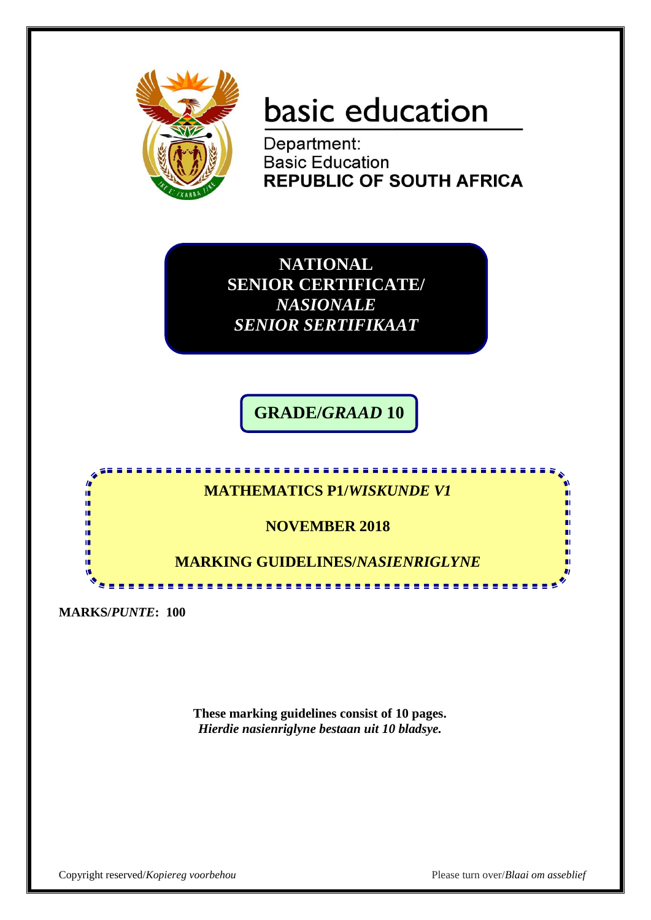

# basic education

Department: **Basic Education REPUBLIC OF SOUTH AFRICA** 

**NATIONAL SENIOR CERTIFICATE/** *NASIONALE SENIOR SERTIFIKAAT*

**GRADE/***GRAAD* **10**



**MARKS/***PUNTE***: 100**

**These marking guidelines consist of 10 pages.** *Hierdie nasienriglyne bestaan uit 10 bladsye.*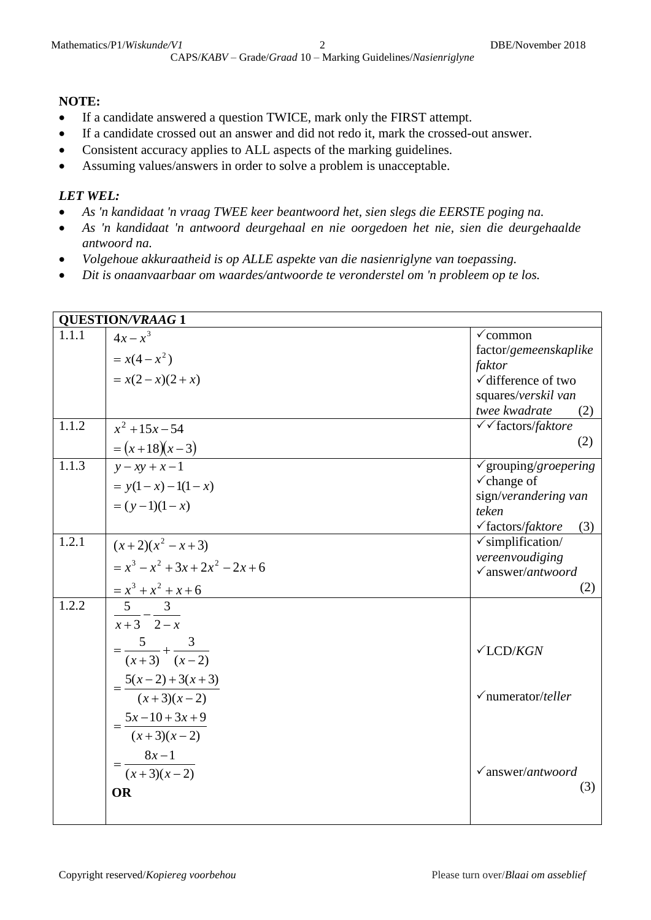#### **NOTE:**

- If a candidate answered a question TWICE, mark only the FIRST attempt.
- If a candidate crossed out an answer and did not redo it, mark the crossed-out answer.
- Consistent accuracy applies to ALL aspects of the marking guidelines.
- Assuming values/answers in order to solve a problem is unacceptable.

#### *LET WEL:*

- *As 'n kandidaat 'n vraag TWEE keer beantwoord het, sien slegs die EERSTE poging na.*
- *As 'n kandidaat 'n antwoord deurgehaal en nie oorgedoen het nie, sien die deurgehaalde antwoord na.*
- *Volgehoue akkuraatheid is op ALLE aspekte van die nasienriglyne van toepassing.*
- *Dit is onaanvaarbaar om waardes/antwoorde te veronderstel om 'n probleem op te los.*

|       | <b>QUESTION/VRAAG 1</b>             |                                                       |
|-------|-------------------------------------|-------------------------------------------------------|
| 1.1.1 | $4x-x^3$                            | $\checkmark$ common                                   |
|       | $= x(4-x^2)$                        | factor/gemeenskaplike                                 |
|       | $= x(2-x)(2+x)$                     | faktor                                                |
|       |                                     | $\checkmark$ difference of two<br>squares/verskil van |
|       |                                     | twee kwadrate<br>(2)                                  |
| 1.1.2 | $x^2 + 15x - 54$                    | √ factors/faktore                                     |
|       | $=(x+18)(x-3)$                      | (2)                                                   |
| 1.1.3 | $y - xy + x - 1$                    | $\checkmark$ grouping/groepering                      |
|       | $= y(1-x) - 1(1-x)$                 | $\checkmark$ change of                                |
|       |                                     | sign/verandering van                                  |
|       | $=(y-1)(1-x)$                       | teken                                                 |
|       |                                     | $\checkmark$ factors/faktore<br>(3)                   |
| 1.2.1 | $(x+2)(x^2-x+3)$                    | $\checkmark$ simplification/                          |
|       | $= x3 - x2 + 3x + 2x2 - 2x + 6$     | vereenvoudiging<br>$\sqrt{a}$ nswer/antwoord          |
|       |                                     | (2)                                                   |
| 1.2.2 | $\frac{x^3 + x^2 + x + 6}{5}$       |                                                       |
|       | $x+3$ 2-x                           |                                                       |
|       |                                     |                                                       |
|       | $=\frac{5}{(x+3)}+\frac{3}{(x-2)}$  | $\checkmark$ LCD/KGN                                  |
|       |                                     |                                                       |
|       | $=\frac{5(x-2)+3(x+3)}{(x+3)(x-2)}$ |                                                       |
|       |                                     | $\checkmark$ numerator/teller                         |
|       | $5x-10+3x+9$                        |                                                       |
|       | $(x+3)(x-2)$                        |                                                       |
|       | $=\frac{8x-1}{x}$                   |                                                       |
|       | $\frac{1}{(x+3)(x-2)}$              | $\checkmark$ answer/antwoord                          |
|       | <b>OR</b>                           | (3)                                                   |
|       |                                     |                                                       |
|       |                                     |                                                       |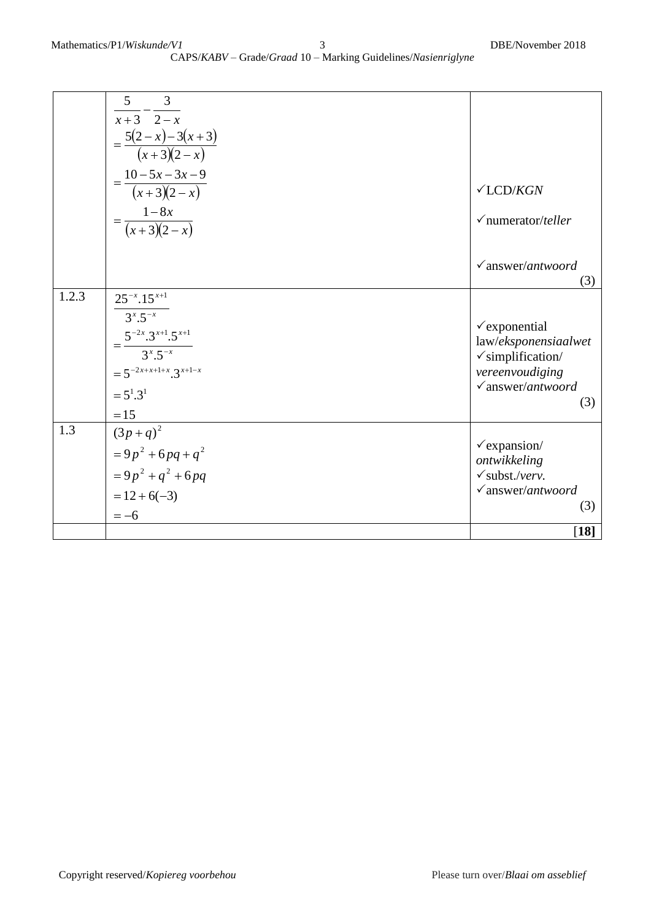|       | 5<br>3<br>$x+3$ 2-x<br>$=\frac{5(2-x)-3(x+3)}{(x+3)(2-x)}$<br>$=\frac{10-5x-3x-9}{(x+3)(2-x)}$<br>$=\frac{1-8x}{(x+3)(2-x)}$                          | $\checkmark$ LCD/KGN<br>$\sqrt{\text{numerator/}$ teller                                                                                   |
|-------|-------------------------------------------------------------------------------------------------------------------------------------------------------|--------------------------------------------------------------------------------------------------------------------------------------------|
|       |                                                                                                                                                       | $\checkmark$ answer/antwoord<br>(3)                                                                                                        |
| 1.2.3 | $25^{-x}$ .15 $^{x+1}$<br>$3^{x} .5^{-x}$<br>$=\frac{5^{-2x}.3^{x+1}.5^{x+1}}{3^x.5^{-x}}$<br>$=5^{-2x+x+1+x} \cdot 3^{x+1-x}$<br>$=5^1.3^1$<br>$=15$ | $\checkmark$ exponential<br>law/eksponensiaalwet<br>$\checkmark$ simplification/<br>vereenvoudiging<br>$\checkmark$ answer/antwoord<br>(3) |
| 1.3   | $\frac{1}{(3p+q)^2}$<br>$=9p^{2}+6pq+q^{2}$<br>$= 9p2 + q2 + 6pq$<br>$= 12 + 6(-3)$<br>$=-6$                                                          | $\checkmark$ expansion/<br>ontwikkeling<br>$\checkmark$ subst./verv.<br>$\checkmark$ answer/antwoord<br>(3)                                |
|       |                                                                                                                                                       | $[18]$                                                                                                                                     |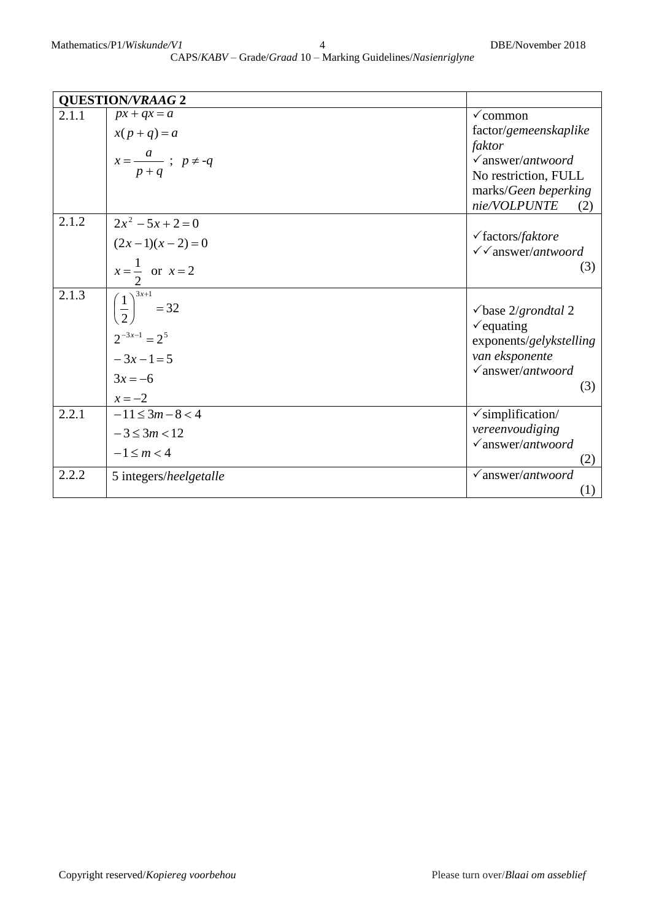|       | <b>QUESTION/VRAAG 2</b>                |                                      |
|-------|----------------------------------------|--------------------------------------|
| 2.1.1 | $px + qx = a$                          | $\checkmark$ common                  |
|       | $x(p+q)=a$                             | factor/gemeenskaplike                |
|       |                                        | faktor                               |
|       | $x = \frac{a}{p+q}$ ; $p \neq -q$      | $\sqrt{answer/antwoord}$             |
|       |                                        | No restriction, FULL                 |
|       |                                        | marks/Geen beperking                 |
|       |                                        | nie/VOLPUNTE<br>(2)                  |
| 2.1.2 | $2x^2 - 5x + 2 = 0$                    |                                      |
|       | $(2x-1)(x-2)=0$                        | $\checkmark$ factors/ <i>faktore</i> |
|       |                                        | $\checkmark$ answer/antwoord         |
|       | $x=\frac{1}{2}$ or $x=2$               | (3)                                  |
| 2.1.3 | $\left(\frac{1}{2}\right)^{3x+1} = 32$ |                                      |
|       |                                        | $\checkmark$ base 2/grondtal 2       |
|       |                                        | $\checkmark$ equating                |
|       | $2^{-3x-1} = 2^5$                      | exponents/gelykstelling              |
|       | $-3x-1=5$                              | van eksponente                       |
|       | $3x = -6$                              | $\checkmark$ answer/antwoord         |
|       |                                        | (3)                                  |
|       | $x = -2$                               |                                      |
| 2.2.1 | $-11 \leq 3m-8 < 4$                    | $\checkmark$ simplification/         |
|       | $-3 \leq 3m < 12$                      | vereenvoudiging                      |
|       | $-1 \le m < 4$                         | $\sqrt{answer/antwoord}$             |
|       |                                        | (2)                                  |
| 2.2.2 | 5 integers/heelgetalle                 | $\sqrt{answer/antwoord}$             |
|       |                                        | (1)                                  |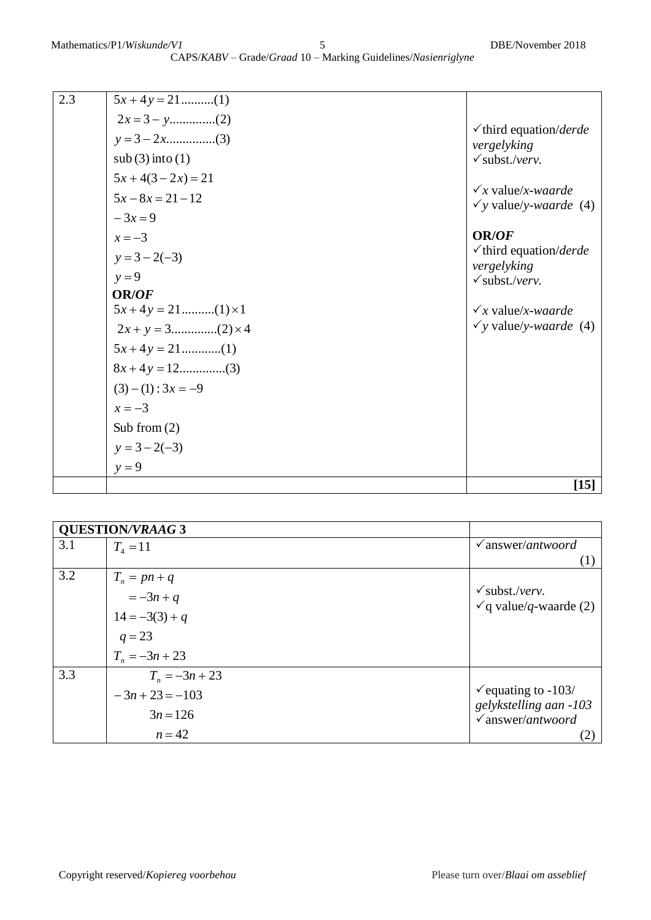|     |                    | $[15]$                                                         |
|-----|--------------------|----------------------------------------------------------------|
|     | $y = 9$            |                                                                |
|     | $y = 3 - 2(-3)$    |                                                                |
|     | Sub from $(2)$     |                                                                |
|     | $x = -3$           |                                                                |
|     | $(3)-(1): 3x = -9$ |                                                                |
|     |                    |                                                                |
|     |                    |                                                                |
|     |                    | $\checkmark$ y value/y-waarde (4)                              |
|     |                    | $\sqrt{x}$ value/x-waarde                                      |
|     | <b>OR/OF</b>       |                                                                |
|     | $y=9$              | vergelyking<br>$\checkmark$ subst./verv.                       |
|     | $y = 3 - 2(-3)$    | $\checkmark$ third equation/derde                              |
|     | $x = -3$           | <b>OR/OF</b>                                                   |
|     | $-3x=9$            |                                                                |
|     | $5x-8x=21-12$      | $\sqrt{x}$ value/x-waarde<br>$\checkmark$ y value/y-waarde (4) |
|     | $5x+4(3-2x)=21$    |                                                                |
|     | sub(3) into (1)    | $\checkmark$ subst./verv.                                      |
|     |                    | $\checkmark$ third equation/ <i>derde</i><br>vergelyking       |
|     |                    |                                                                |
| 2.3 | $5x + 4y = 21$ (1) |                                                                |

| <b>QUESTION/VRAAG 3</b> |                  |                                   |
|-------------------------|------------------|-----------------------------------|
| 3.1                     | $T_4 = 11$       | $\sqrt{answer/antwoord}$          |
|                         |                  |                                   |
| 3.2                     | $T_n = pn + q$   |                                   |
|                         | $=-3n+q$         | $\checkmark$ subst./verv.         |
|                         | $14 = -3(3) + q$ | $\checkmark$ q value/q-waarde (2) |
|                         |                  |                                   |
|                         | $q = 23$         |                                   |
|                         | $T_n = -3n + 23$ |                                   |
| 3.3                     | $T_n = -3n + 23$ |                                   |
|                         | $-3n+23=-103$    | $\checkmark$ equating to -103/    |
|                         | $3n = 126$       | gelykstelling aan -103            |
|                         |                  | $\checkmark$ answer/antwoord      |
|                         | $n = 42$         | (2)                               |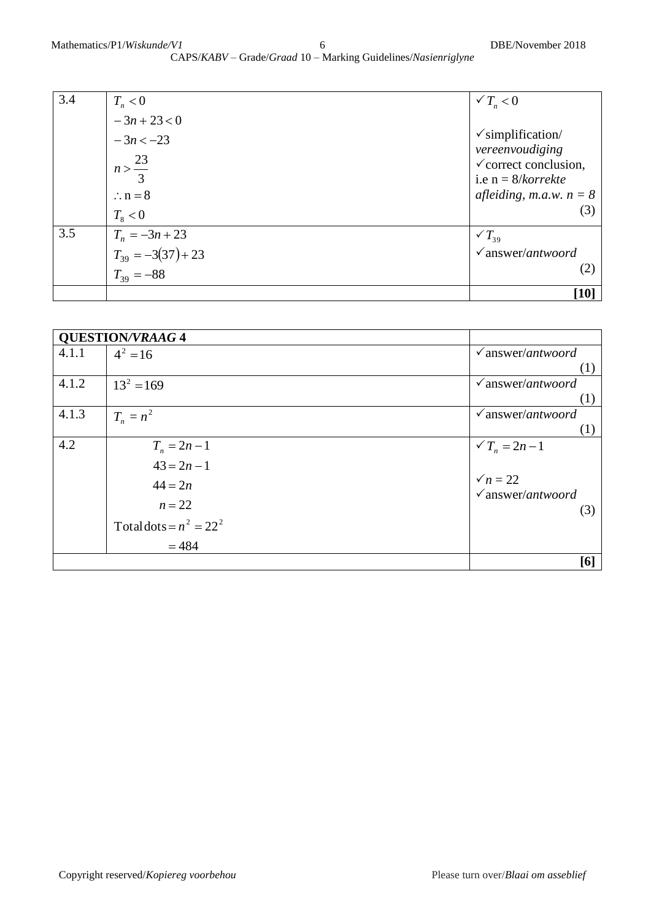| 3.4 | $T_n < 0$                                | $\sqrt{T_n}$ < 0                                                             |
|-----|------------------------------------------|------------------------------------------------------------------------------|
|     | $-3n+23 < 0$                             |                                                                              |
|     | $-3n < -23$                              | $\checkmark$ simplification/                                                 |
|     | $n > \frac{23}{3}$                       | vereenvoudiging<br>$\checkmark$ correct conclusion,<br>i.e $n = 8/k$ orrekte |
|     | $\therefore$ n = 8                       | <i>afleiding, m.a.w.</i> $n = 8$                                             |
|     | $T_{\rm s}$ < 0                          | (3)                                                                          |
| 3.5 | $T_n = -3n + 23$                         | $\sqrt{T_{39}}$                                                              |
|     |                                          | $\checkmark$ answer/antwoord                                                 |
|     | $T_{39} = -3(37) + 23$<br>$T_{39} = -88$ | (2)                                                                          |
|     |                                          | $\lceil 10 \rceil$                                                           |

|       | <b>QUESTION/VRAAG 4</b>   |                              |
|-------|---------------------------|------------------------------|
| 4.1.1 | $4^2 = 16$                | $\sqrt{answer/antwoord}$     |
|       |                           | (1)                          |
| 4.1.2 | $13^2 = 169$              | $\sqrt{answer/antwoord}$     |
|       |                           | (1)                          |
| 4.1.3 | $T_n = n^2$               | $\sqrt{answer/antwoord}$     |
|       |                           | (1)                          |
| 4.2   | $T_n = 2n - 1$            | $\sqrt{T_n} = 2n - 1$        |
|       | $43 = 2n - 1$             |                              |
|       | $44 = 2n$                 | $\sqrt{n} = 22$              |
|       |                           | $\checkmark$ answer/antwoord |
|       | $n=22$                    | (3)                          |
|       | Total dots = $n^2 = 22^2$ |                              |
|       | $= 484$                   |                              |
|       |                           | [6]                          |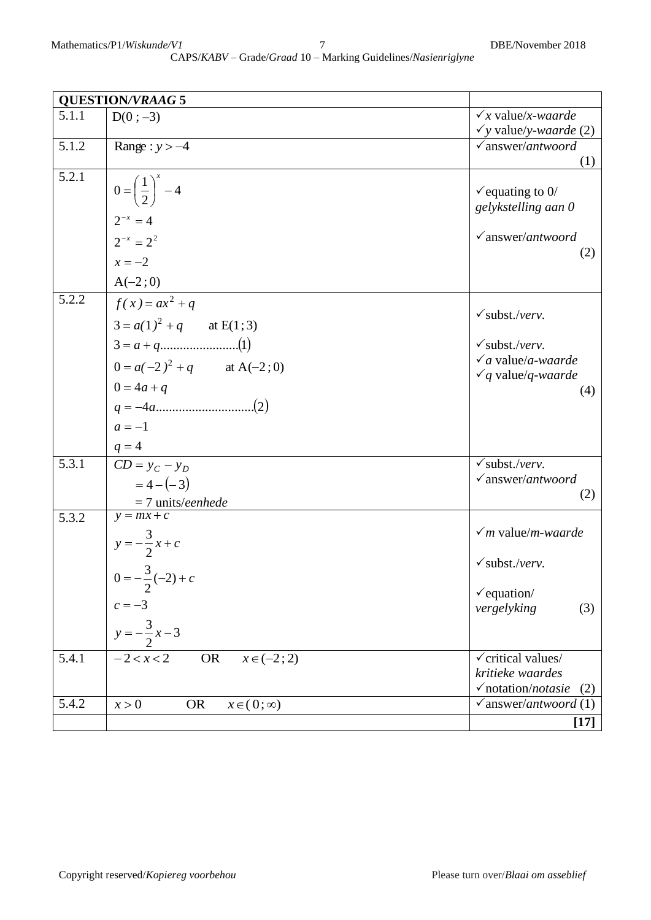|       | <b>QUESTION/VRAAG 5</b>                               |                                                        |
|-------|-------------------------------------------------------|--------------------------------------------------------|
| 5.1.1 | $D(0; -3)$                                            | $\sqrt{x}$ value/x-waarde                              |
|       |                                                       | $\checkmark$ y value/y-waarde (2)                      |
| 5.1.2 | Range: $y > -4$                                       | $\sqrt{answer/antwoord}$                               |
| 5.2.1 |                                                       | (1)                                                    |
|       | $0 = \left(\frac{1}{2}\right)^{x} - 4$                | $\checkmark$ equating to 0/                            |
|       |                                                       | gelykstelling aan 0                                    |
|       | $2^{-x} = 4$                                          |                                                        |
|       | $2^{-x} = 2^2$                                        | $\checkmark$ answer/antwoord                           |
|       | $x = -2$                                              | (2)                                                    |
|       | $A(-2; 0)$                                            |                                                        |
| 5.2.2 | $f(x) = ax^2 + q$                                     | $\checkmark$ subst./verv.                              |
|       | $3 = a(1)^2 + q$ at E(1;3)                            |                                                        |
|       |                                                       | $\checkmark$ subst./verv.                              |
|       | $0 = a(-2)^2 + q$ at A(-2;0)                          | $\sqrt{a}$ value/a-waarde<br>$\sqrt{q}$ value/q-waarde |
|       | $0 = 4a + q$                                          | (4)                                                    |
|       |                                                       |                                                        |
|       | $a=-1$                                                |                                                        |
|       | $q = 4$                                               |                                                        |
| 5.3.1 | $CD = y_C - y_D$                                      | $\sqrt{\text{subst}}$ ./verv.                          |
|       | $=4-(-3)$                                             | $\sqrt{answer/antwoord}$                               |
|       | $\frac{y}{y} = \frac{7 \text{ units/}eenhede}{y}$     | (2)                                                    |
| 5.3.2 |                                                       |                                                        |
|       | $y = -\frac{3}{2}x + c$<br>0 = $-\frac{3}{2}(-2) + c$ | $\nu$ m value/m-waarde                                 |
|       |                                                       | $\checkmark$ subst./verv.                              |
|       |                                                       |                                                        |
|       |                                                       | $\checkmark$ equation/                                 |
|       | $c = -3$                                              | vergelyking<br>(3)                                     |
|       | $y = -\frac{3}{2}x - 3$                               |                                                        |
| 5.4.1 | $-2 < x < 2$<br>$x \in (-2; 2)$<br><b>OR</b>          | $\checkmark$ critical values/                          |
|       |                                                       | kritieke waardes                                       |
|       |                                                       | $\checkmark$ notation/ <i>notasie</i><br>(2)           |
| 5.4.2 | <b>OR</b><br>x > 0<br>$x \in (0; \infty)$             | $\checkmark$ answer/antwoord (1)                       |
|       |                                                       | $[17]$                                                 |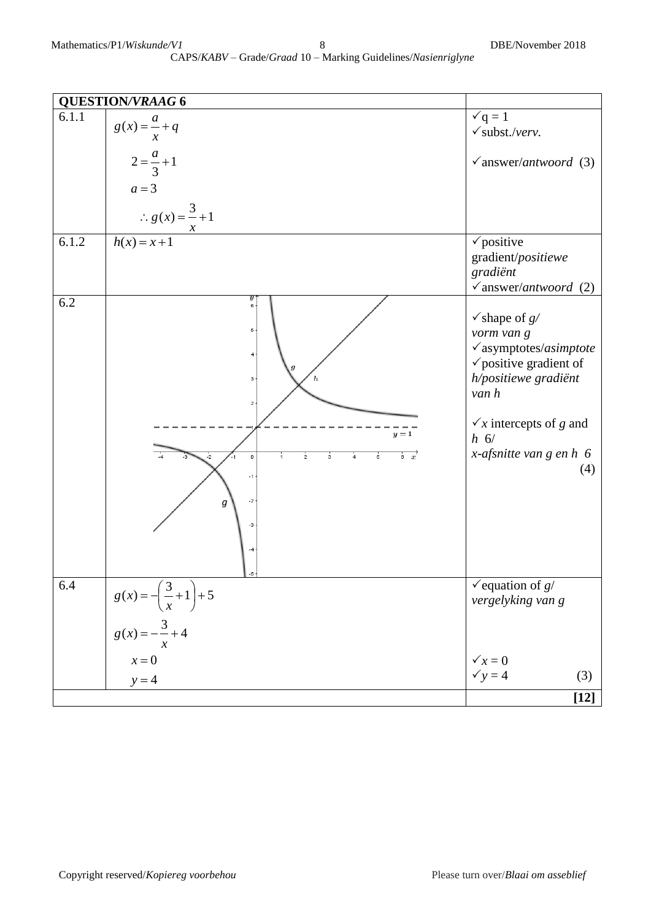|       | <b>QUESTION/VRAAG 6</b>                                                                                                                            |                                                                                                                                                                                                                                        |
|-------|----------------------------------------------------------------------------------------------------------------------------------------------------|----------------------------------------------------------------------------------------------------------------------------------------------------------------------------------------------------------------------------------------|
| 6.1.1 | $g(x) = \frac{a}{x} + q$                                                                                                                           | $\check{q} = 1$<br>$\checkmark$ subst./verv.                                                                                                                                                                                           |
|       | $2 = \frac{a}{3} + 1$<br>$a=3$                                                                                                                     | $\checkmark$ answer/antwoord (3)                                                                                                                                                                                                       |
|       | $\therefore g(x) = \frac{3}{x} + 1$<br>$\boldsymbol{\mathcal{X}}$                                                                                  |                                                                                                                                                                                                                                        |
| 6.1.2 | $h(x) = x+1$                                                                                                                                       | $\checkmark$ positive<br>gradient/positiewe<br>gradiënt<br>$\checkmark$ answer/antwoord (2)                                                                                                                                            |
| 6.2   | y<br>$_{\rm 6}$<br>5<br>4<br>з<br>$\overline{2}$<br>$y=1$<br>$6\quad x$<br>$\circ$<br>$\overline{\mathbf{2}}$<br>3<br>5<br>$-1$<br>$-2$<br>q<br>-3 | $\checkmark$ shape of $g$ /<br>vorm van g<br>$\checkmark$ asymptotes/asimptote<br>$\checkmark$ positive gradient of<br>h/positiewe gradiënt<br>van h<br>$\sqrt{x}$ intercepts of g and<br>$h_6/$<br>x-afsnitte van $g$ en $h$ 6<br>(4) |
| 6.4   | $g(x) = -\left(\frac{3}{x} + 1\right) + 5$                                                                                                         | $\checkmark$ equation of $g/$<br>vergelyking van g                                                                                                                                                                                     |
|       | $g(x) = -\frac{3}{x} + 4$<br>$x = 0$<br>$y = 4$                                                                                                    | $\sqrt{x} = 0$<br>$\checkmark$ y = 4<br>(3)                                                                                                                                                                                            |
|       |                                                                                                                                                    | $[12]$                                                                                                                                                                                                                                 |
|       |                                                                                                                                                    |                                                                                                                                                                                                                                        |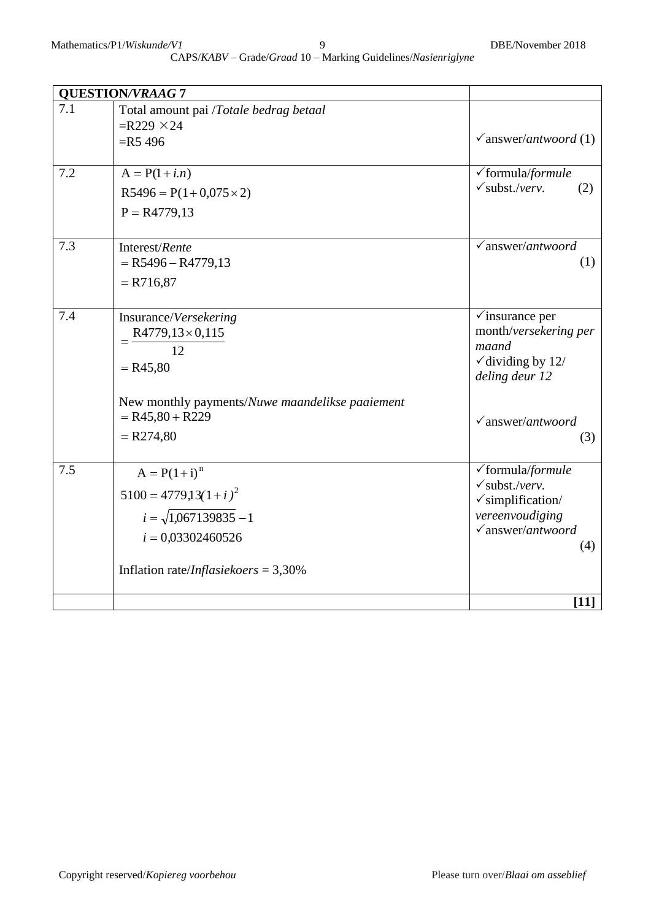| <b>QUESTION/VRAAG 7</b> |                                                 |                                                           |
|-------------------------|-------------------------------------------------|-----------------------------------------------------------|
| 7.1                     | Total amount pai /Totale bedrag betaal          |                                                           |
|                         | $=R229 \times 24$                               |                                                           |
|                         | $=$ R5 496                                      | $\sqrt{answer/antwoord(1)}$                               |
|                         |                                                 |                                                           |
| 7.2                     | $A = P(1 + i.n)$                                | √formula/formule<br>$\checkmark$ subst./verv.             |
|                         | $R5496 = P(1+0.075 \times 2)$                   | (2)                                                       |
|                         | $P = R4779,13$                                  |                                                           |
| 7.3                     | Interest/Rente                                  | $\sqrt{answer/antwoord}$                                  |
|                         | $=$ R5496 – R4779,13                            | (1)                                                       |
|                         | $= R716,87$                                     |                                                           |
|                         |                                                 |                                                           |
| 7.4                     | Insurance/Versekering                           | $\checkmark$ insurance per                                |
|                         | $=\frac{R4779,13\times0,115}{4}$                | month/versekering per                                     |
|                         | 12                                              | maand<br>$\checkmark$ dividing by 12/                     |
|                         | $= R45,80$                                      | deling deur 12                                            |
|                         |                                                 |                                                           |
|                         | New monthly payments/Nuwe maandelikse paaiement |                                                           |
|                         | $= R45,80 + R229$                               | $\checkmark$ answer/antwoord                              |
|                         | $= R274,80$                                     | (3)                                                       |
|                         |                                                 |                                                           |
| 7.5                     | $A = P(1 + i)^n$                                | $\checkmark$ formula/formule                              |
|                         | $5100 = 4779,13(1+i)^2$                         | $\checkmark$ subst./verv.<br>$\checkmark$ simplification/ |
|                         | $i = \sqrt{1,067139835} - 1$                    | vereenvoudiging                                           |
|                         | $i = 0.03302460526$                             | $\sqrt{a}$ nswer/antwoord                                 |
|                         |                                                 | (4)                                                       |
|                         | Inflation rate/ <i>Inflasiekoers</i> = $3,30\%$ |                                                           |
|                         |                                                 |                                                           |
|                         |                                                 | $[11]$                                                    |